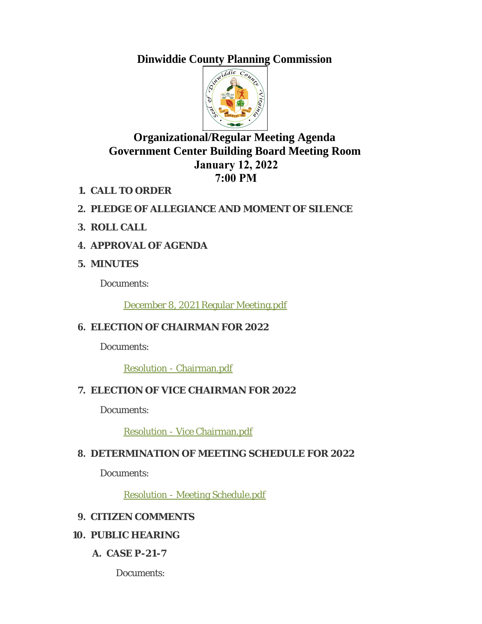# **Dinwiddie County Planning Commission**



# **Organizational/Regular Meeting Agenda Government Center Building Board Meeting Room January 12, 2022 7:00 PM**

- **CALL TO ORDER 1.**
- **PLEDGE OF ALLEGIANCE AND MOMENT OF SILENCE 2.**
- **ROLL CALL 3.**
- **APPROVAL OF AGENDA 4.**

### **MINUTES 5.**

Documents:

[December 8, 2021 Regular Meeting.pdf](http://www.dinwiddieva.us/AgendaCenter/ViewFile/Item/5380?fileID=8889)

# **ELECTION OF CHAIRMAN FOR 2022 6.**

Documents:

[Resolution - Chairman.pdf](http://www.dinwiddieva.us/AgendaCenter/ViewFile/Item/5375?fileID=8909)

## **ELECTION OF VICE CHAIRMAN FOR 2022 7.**

Documents:

[Resolution - Vice Chairman.pdf](http://www.dinwiddieva.us/AgendaCenter/ViewFile/Item/5376?fileID=8908)

## **DETERMINATION OF MEETING SCHEDULE FOR 2022 8.**

Documents:

[Resolution - Meeting Schedule.pdf](http://www.dinwiddieva.us/AgendaCenter/ViewFile/Item/5377?fileID=8885)

### **CITIZEN COMMENTS 9.**

# **PUBLIC HEARING 10.**

**CASE P-21-7 A.**

Documents: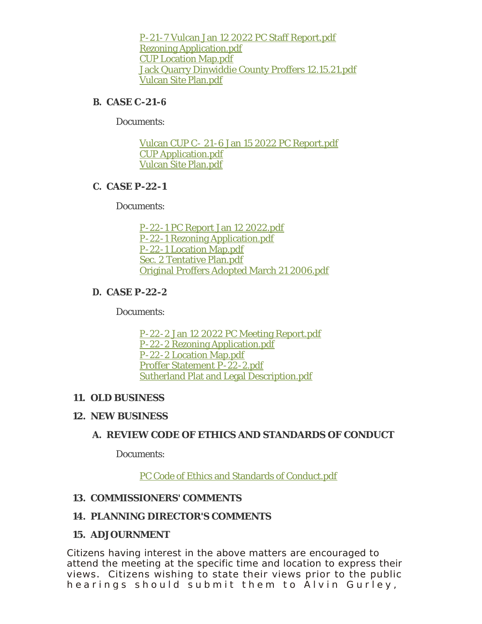[P-21-7 Vulcan Jan 12 2022 PC Staff Report.pdf](http://www.dinwiddieva.us/AgendaCenter/ViewFile/Item/5383?fileID=8900) [Rezoning Application.pdf](http://www.dinwiddieva.us/AgendaCenter/ViewFile/Item/5383?fileID=8901) [CUP Location Map.pdf](http://www.dinwiddieva.us/AgendaCenter/ViewFile/Item/5383?fileID=8902) [Jack Quarry Dinwiddie County Proffers 12.15.21.pdf](http://www.dinwiddieva.us/AgendaCenter/ViewFile/Item/5383?fileID=8903) [Vulcan Site Plan.pdf](http://www.dinwiddieva.us/AgendaCenter/ViewFile/Item/5383?fileID=8904)

#### **CASE C-21-6 B.**

Documents:

[Vulcan CUP C- 21-6 Jan 15 2022 PC Report.pdf](http://www.dinwiddieva.us/AgendaCenter/ViewFile/Item/5384?fileID=8905) [CUP Application.pdf](http://www.dinwiddieva.us/AgendaCenter/ViewFile/Item/5384?fileID=8906) [Vulcan Site Plan.pdf](http://www.dinwiddieva.us/AgendaCenter/ViewFile/Item/5384?fileID=8907)

#### **CASE P-22-1 C.**

Documents:

[P-22-1 PC Report Jan 12 2022.pdf](http://www.dinwiddieva.us/AgendaCenter/ViewFile/Item/5382?fileID=8899) [P-22-1 Rezoning Application.pdf](http://www.dinwiddieva.us/AgendaCenter/ViewFile/Item/5382?fileID=8894) [P-22-1 Location Map.pdf](http://www.dinwiddieva.us/AgendaCenter/ViewFile/Item/5382?fileID=8895) [Sec. 2 Tentative Plan.pdf](http://www.dinwiddieva.us/AgendaCenter/ViewFile/Item/5382?fileID=8896) [Original Proffers Adopted March 21 2006.pdf](http://www.dinwiddieva.us/AgendaCenter/ViewFile/Item/5382?fileID=8897)

#### **CASE P-22-2 D.**

Documents:

[P-22-2 Jan 12 2022 PC Meeting Report.pdf](http://www.dinwiddieva.us/AgendaCenter/ViewFile/Item/5381?fileID=8898) [P-22-2 Rezoning Application.pdf](http://www.dinwiddieva.us/AgendaCenter/ViewFile/Item/5381?fileID=8890) [P-22-2 Location Map.pdf](http://www.dinwiddieva.us/AgendaCenter/ViewFile/Item/5381?fileID=8891) [Proffer Statement P-22-2.pdf](http://www.dinwiddieva.us/AgendaCenter/ViewFile/Item/5381?fileID=8892) [Sutherland Plat and Legal Description.pdf](http://www.dinwiddieva.us/AgendaCenter/ViewFile/Item/5381?fileID=8893)

#### **OLD BUSINESS 11.**

#### **NEW BUSINESS 12.**

#### **REVIEW CODE OF ETHICS AND STANDARDS OF CONDUCT A.**

Documents:

[PC Code of Ethics and Standards of Conduct.pdf](http://www.dinwiddieva.us/AgendaCenter/ViewFile/Item/5379?fileID=8888)

#### **COMMISSIONERS' COMMENTS 13.**

#### **PLANNING DIRECTOR'S COMMENTS 14.**

#### **ADJOURNMENT 15.**

Citizens having interest in the above matters are encouraged to attend the meeting at the specific time and location to express their views. Citizens wishing to state their views prior to the public hearings should submit them to Alvin Gurley,